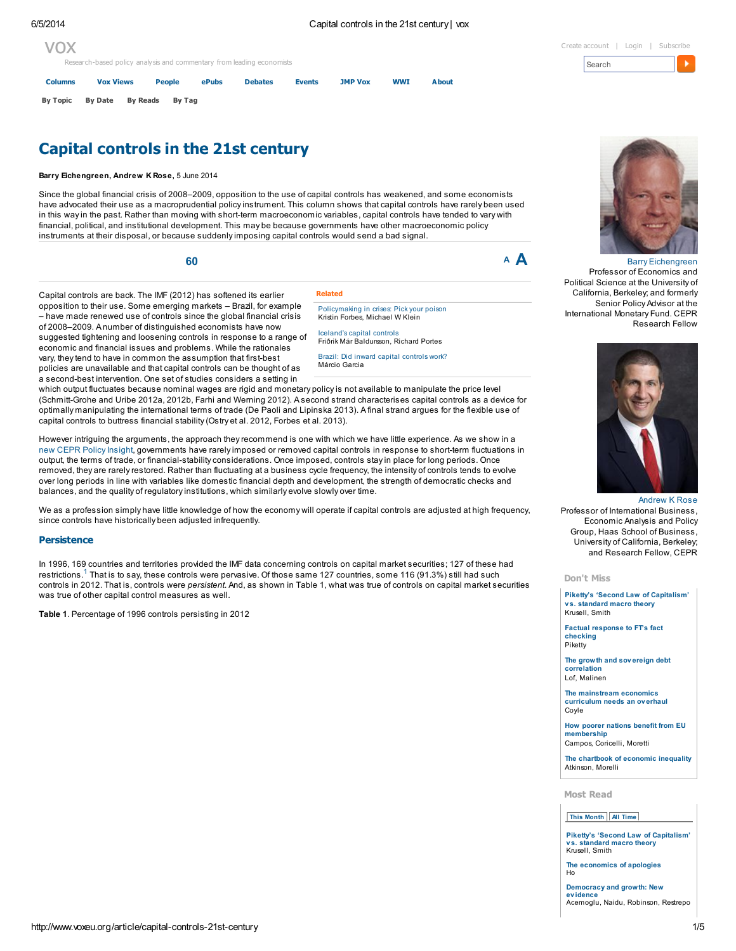[vox](http://www.voxeu.org/)

Create [account](http://www.voxeu.org/user/register) | [Login](http://www.voxeu.org/user/login?destination=node%2F10699) | [Subscribe](http://www.voxeu.org/pages/feeds)

 $R$ ch-based policy analysis and commentary from leading economists  $\overline{S}$ 

| <b>Columns</b> | <b>Vox Views</b>                 | People | ePubs | <b>Debates</b> | <b>Events</b> | <b>JMP Vox</b> | <b>WWI</b> | <b>A</b> bout |
|----------------|----------------------------------|--------|-------|----------------|---------------|----------------|------------|---------------|
|                | By Topic By Date By Reads By Tag |        |       |                |               |                |            |               |

# Capital controls in the 21st century

#### Barry Eichengreen, Andrew K Rose, 5 June 2014

Since the global financial crisis of 2008–2009, opposition to the use of capital controls has weakened, and some economists have advocated their use as a macroprudential policy instrument. This column shows that capital controls have rarely been used in this way in the past. Rather than moving with short-term macroeconomic variables, capital controls have tended to vary with financial, political, and institutional development. This may be because governments have other macroeconomic policy instruments at their disposal, or because suddenly imposing capital controls would send a bad signal.

# 60  $A \uparrow A$

Capital controls are back. The IMF (2012) has softened its earlier opposition to their use. Some emerging markets – Brazil, for example – have made renewed use of controls since the global financial crisis of 2008–2009. A number of distinguished economists have now suggested tightening and loosening controls in response to a range of economic and financial issues and problems. While the rationales vary, they tend to have in common the assumption that first-best policies are unavailable and that capital controls can be thought of as a second-best intervention. One set of studies considers a setting in

Related

[Policymaking](http://www.voxeu.org/article/policymaking-crises-pick-your-poison) in crises: Pick your poison Kristin Forbes, Michael W Klein

[Iceland's](http://www.voxeu.org/article/iceland-s-capital-controls) capital controls Friðrik Már Baldursson, Richard Portes

Brazil: Did inward capital [controls](http://www.voxeu.org/article/brazil-did-inward-capital-controls-work) work? Márcio Garcia

which output fluctuates because nominal wages are rigid and monetary policy is not available to manipulate the price level (Schmitt-Grohe and Uribe 2012a, 2012b, Farhi and Werning 2012). A second strand characterises capital controls as a device for optimally manipulating the international terms of trade (De Paoli and Lipinska 2013). A final strand argues for the flexible use of capital controls to buttress financial stability (Ostry et al. 2012, Forbes et al. 2013).

However intriguing the arguments, the approach they recommend is one with which we have little experience. As we show in a new CEPR Policy [Insight,](http://www.cepr.org/active/publications/policy_insights/viewpi.php?pino=72) governments have rarely imposed or removed capital controls in response to short-term fluctuations in output, the terms of trade, or financial-stability considerations. Once imposed, controls stay in place for long periods. Once removed, they are rarely restored. Rather than fluctuating at a business cycle frequency, the intensity of controls tends to evolve over long periods in line with variables like domestic financial depth and development, the strength of democratic checks and balances, and the quality of regulatory institutions, which similarly evolve slowly over time.

We as a profession simply have little knowledge of how the economy will operate if capital controls are adjusted at high frequency, since controls have historically been adjusted infrequently.

# **Persistence**

In 1996, 169 countries and territories provided the IMF data concerning controls on capital market securities; 127 of these had restrictions. [1](#page-4-0) That is to say, these controls were pervasive. Of those same 127 countries, some 116 (91.3%) still had such controls in 2012. That is, controls were persistent. And, as shown in Table 1, what was true of controls on capital market securities was true of other capital control measures as well.

Table 1. Percentage of 1996 controls persisting in 2012

Barry [Eichengreen](http://www.voxeu.org/person/barry-eichengreen)

Professor of Economics and Political Science at the University of California, Berkeley; and formerly Senior Policy Advisor at the International Monetary Fund. CEPR Research Fellow



[Andrew](http://www.voxeu.org/person/andrew-k-rose) K Rose Professor of International Business, Economic Analysis and Policy Group, Haas School of Business, University of California, Berkeley; and Research Fellow, CEPR

Don't Miss

Piketty's 'Second Law of [Capitalism'](http://www.voxeu.org/article/piketty-s-second-law-capitalism-vs-standard-macro-theory) vs. standard macro theory Krusell, Smith

Factual [response](http://www.voxeu.org/article/factual-response-ft-s-fact-checking) to FT's fact checking Piketty

The growth and sovereign debt [correlation](http://www.voxeu.org/article/growth-and-sovereign-debt-correlation) Lof, Malinen

The [mainstream](http://www.voxeu.org/article/mainstream-economics-curriculum-needs-overhaul) economics curriculum needs an overhaul Coyle

How poorer nations benefit from EU [membership](http://www.voxeu.org/article/how-poorer-nations-benefit-eu-membership) Campos, Coricelli, Moretti

The [chartbook](http://www.voxeu.org/article/chartbook-economic-inequality) of economic inequality Atkinson, Morelli

Most Read

## This [Month](http://www.voxeu.org/article/capital-controls-21st-century?quicktabs_tabbed_recent_articles_block=0#quicktabs-tabbed_recent_articles_block) | All [Time](http://www.voxeu.org/article/capital-controls-21st-century?quicktabs_tabbed_recent_articles_block=1#quicktabs-tabbed_recent_articles_block)

Piketty's 'Second Law of [Capitalism'](http://www.voxeu.org/article/piketty-s-second-law-capitalism-vs-standard-macro-theory) **v s. standard macro theory**<br>Krusell, Smith

The [economics](http://www.voxeu.org/article/economics-apologies) of apologies Ho

[Democracy](http://www.voxeu.org/article/democracy-and-growth-new-evidence) and growth: New

evidence Acemoglu, Naidu, Robinson, Restrepo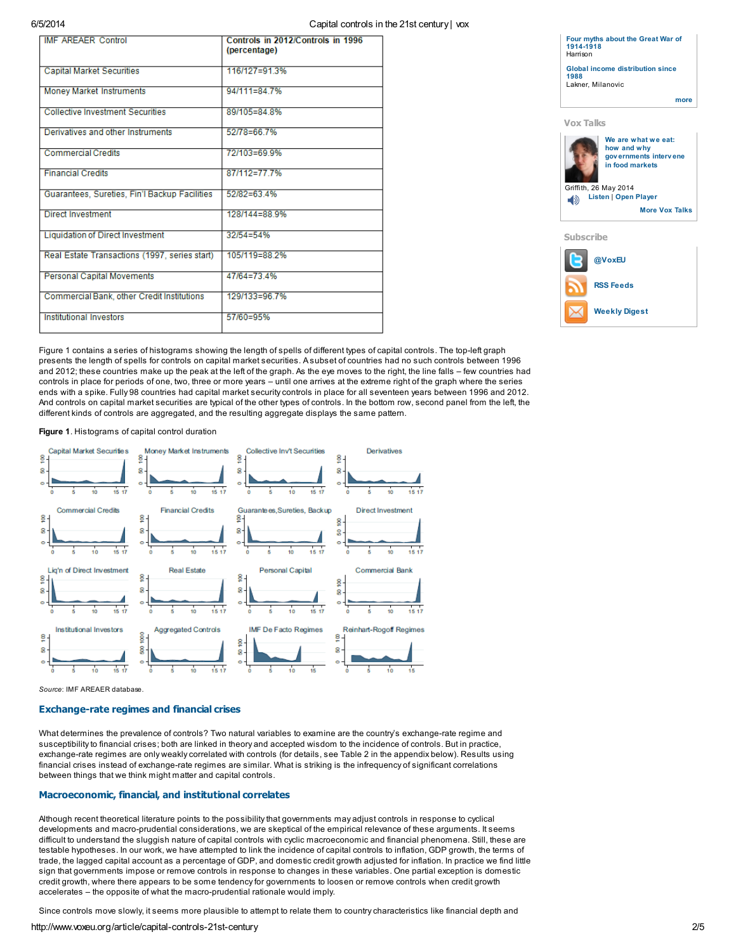| 6/5/2014 | Capital controls in the 21st century   vox |
|----------|--------------------------------------------|
|          |                                            |

| <b>IMF AREAER Control</b>                     | Controls in 2012/Controls in 1996 |
|-----------------------------------------------|-----------------------------------|
|                                               | (percentage)                      |
| <b>Capital Market Securities</b>              | 116/127=91.3%                     |
| <b>Money Market Instruments</b>               | 94/111=84.7%                      |
| <b>Collective Investment Securities</b>       | 89/105=84.8%                      |
| Derivatives and other Instruments             | 52/78=66.7%                       |
| <b>Commercial Credits</b>                     | 72/103=69.9%                      |
| <b>Financial Credits</b>                      | 87/112=77.7%                      |
| Guarantees, Sureties, Fin'l Backup Facilities | 52/82=63.4%                       |
| <b>Direct Investment</b>                      | 128/144=88.9%                     |
| <b>Liquidation of Direct Investment</b>       | 32/54=54%                         |
| Real Estate Transactions (1997, series start) | 105/119=88.2%                     |
| <b>Personal Capital Movements</b>             | 47/64=73.4%                       |
| Commercial Bank, other Credit Institutions    | 129/133=96.7%                     |
| Institutional Investors                       | 57/60=95%                         |

| Four myths about the Great War of<br>1914-1918<br>Harrison                                                                                    |
|-----------------------------------------------------------------------------------------------------------------------------------------------|
| <b>Global income distribution since</b><br>1988<br>Lakner, Milanovic                                                                          |
| more                                                                                                                                          |
|                                                                                                                                               |
| <b>Vox Talks</b>                                                                                                                              |
| We are what we eat:<br>how and why<br>governments intervene<br>in food markets<br>Griffith, 26 May 2014<br><b>Listen   Open Player</b><br>(∂∎ |
|                                                                                                                                               |
| <b>More Vox Talks</b>                                                                                                                         |
|                                                                                                                                               |
| <b>Subscribe</b>                                                                                                                              |
| @VoxEU                                                                                                                                        |

RSS [Feeds](http://www.voxeu.org/feed/recent/rss.xml)

[Weekly](http://www.voxeu.org/pages/how-do-i-subscribe-vox-weekly-digest-email) Digest

Figure 1 contains a series of histograms showing the length of spells of different types of capital controls. The top-left graph presents the length of spells for controls on capital market securities. A subset of countries had no such controls between 1996 and 2012; these countries make up the peak at the left of the graph. As the eye moves to the right, the line falls – few countries had controls in place for periods of one, two, three or more years – until one arrives at the extreme right of the graph where the series ends with a spike. Fully 98 countries had capital market security controls in place for all seventeen years between 1996 and 2012. And controls on capital market securities are typical of the other types of controls. In the bottom row, second panel from the left, the different kinds of controls are aggregated, and the resulting aggregate displays the same pattern.

Figure 1. Histograms of capital control duration



Source: IMF AREAER database

### Exchange-rate regimes and financial crises

What determines the prevalence of controls? Two natural variables to examine are the country's exchange-rate regime and susceptibility to financial crises; both are linked in theory and accepted wisdom to the incidence of controls. But in practice, exchange-rate regimes are only weakly correlated with controls (for details, see Table 2 in the appendix below). Results using financial crises instead of exchange-rate regimes are similar. What is striking is the infrequency of significant correlations between things that we think might matter and capital controls.

# Macroeconomic, financial, and institutional correlates

Although recent theoretical literature points to the possibility that governments may adjust controls in response to cyclical developments and macro-prudential considerations, we are skeptical of the empirical relevance of these arguments. It seems difficult to understand the sluggish nature of capital controls with cyclic macroeconomic and financial phenomena. Still, these are testable hypotheses. In our work, we have attempted to link the incidence of capital controls to inflation, GDP growth, the terms of trade, the lagged capital account as a percentage of GDP, and domestic credit growth adjusted for inflation. In practice we find little sign that governments impose or remove controls in response to changes in these variables. One partial exception is domestic credit growth, where there appears to be some tendency for governments to loosen or remove controls when credit growth accelerates – the opposite of what the macro-prudential rationale would imply.

Since controls move slowly, it seems more plausible to attempt to relate them to country characteristics like financial depth and

http://www.voxeu.org/article/capital-controls-21st-century 2/5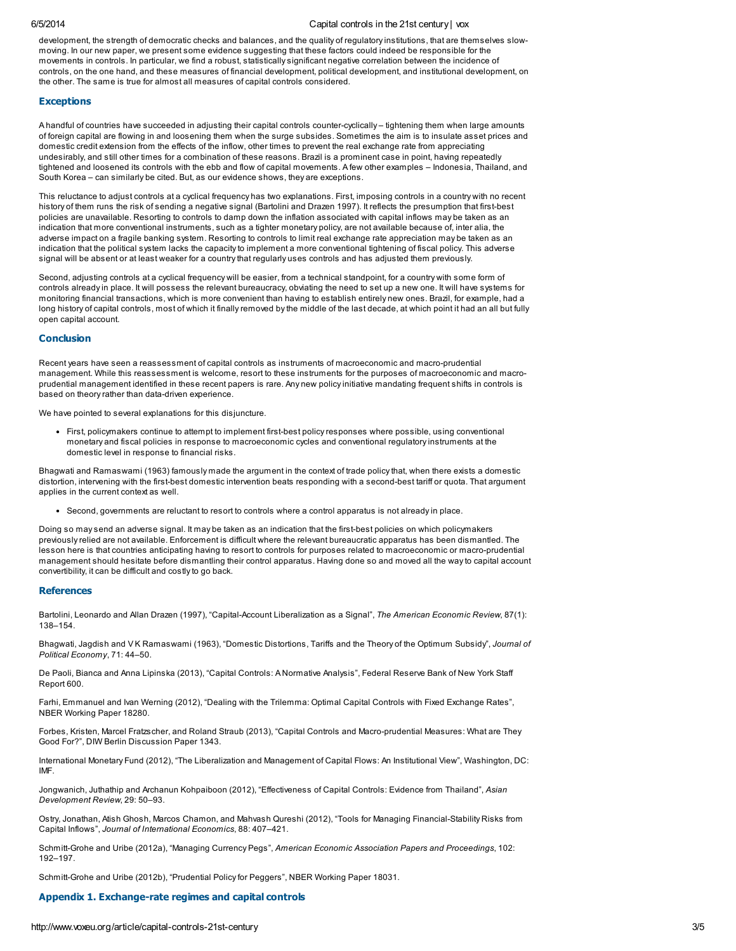#### 6/5/2014 Capital controls in the 21st century | vox

development, the strength of democratic checks and balances, and the quality of regulatory institutions, that are themselves slowmoving. In our new paper, we present some evidence suggesting that these factors could indeed be responsible for the movements in controls. In particular, we find a robust, statistically significant negative correlation between the incidence of controls, on the one hand, and these measures of financial development, political development, and institutional development, on the other. The same is true for almost all measures of capital controls considered.

# Exceptions

A handful of countries have succeeded in adjusting their capital controls counter-cyclically – tightening them when large amounts of foreign capital are flowing in and loosening them when the surge subsides. Sometimes the aim is to insulate asset prices and domestic credit extension from the effects of the inflow, other times to prevent the real exchange rate from appreciating undesirably, and still other times for a combination of these reasons. Brazil is a prominent case in point, having repeatedly tightened and loosened its controls with the ebb and flow of capital movements. A few other examples – Indonesia, Thailand, and South Korea – can similarly be cited. But, as our evidence shows, they are exceptions.

This reluctance to adjust controls at a cyclical frequency has two explanations. First, imposing controls in a country with no recent history of them runs the risk of sending a negative signal (Bartolini and Drazen 1997). It reflects the presumption that first-best policies are unavailable. Resorting to controls to damp down the inflation associated with capital inflows may be taken as an indication that more conventional instruments, such as a tighter monetary policy, are not available because of, inter alia, the adverse impact on a fragile banking system. Resorting to controls to limit real exchange rate appreciation may be taken as an indication that the political system lacks the capacity to implement a more conventional tightening of fiscal policy. This adverse signal will be absent or at least weaker for a country that regularly uses controls and has adjusted them previously.

Second, adjusting controls at a cyclical frequency will be easier, from a technical standpoint, for a country with some form of controls already in place. It will possess the relevant bureaucracy, obviating the need to set up a new one. It will have systems for monitoring financial transactions, which is more convenient than having to establish entirely new ones. Brazil, for example, had a long history of capital controls, most of which it finally removed by the middle of the last decade, at which point it had an all but fully open capital account.

## **Conclusion**

Recent years have seen a reassessment of capital controls as instruments of macroeconomic and macro-prudential management. While this reassessment is welcome, resort to these instruments for the purposes of macroeconomic and macroprudential management identified in these recent papers is rare. Any new policy initiative mandating frequent shifts in controls is based on theory rather than data-driven experience.

We have pointed to several explanations for this disjuncture.

First, policymakers continue to attempt to implement first-best policy responses where possible, using conventional monetary and fiscal policies in response to macroeconomic cycles and conventional regulatory instruments at the domestic level in response to financial risks.

Bhagwati and Ramaswami (1963) famously made the argument in the context of trade policy that, when there exists a domestic distortion, intervening with the first-best domestic intervention beats responding with a second-best tariff or quota. That argument applies in the current context as well.

Second, governments are reluctant to resort to controls where a control apparatus is not already in place.

Doing so may send an adverse signal. It may be taken as an indication that the first-best policies on which policymakers previously relied are not available. Enforcement is difficult where the relevant bureaucratic apparatus has been dismantled. The lesson here is that countries anticipating having to resort to controls for purposes related to macroeconomic or macro-prudential management should hesitate before dismantling their control apparatus. Having done so and moved all the way to capital account convertibility, it can be difficult and costly to go back.

### **References**

Bartolini, Leonardo and Allan Drazen (1997), "Capital-Account Liberalization as a Signal", The American Economic Review, 87(1): 138–154.

Bhagwati, Jagdish and VK Ramaswami (1963), "Domestic Distortions, Tariffs and the Theory of the Optimum Subsidy", Journal of Political Economy, 71: 44–50.

De Paoli, Bianca and Anna Lipinska (2013), "Capital Controls: A Normative Analysis", Federal Reserve Bank of New York Staff Report 600.

Farhi, Emmanuel and Ivan Werning (2012), "Dealing with the Trilemma: Optimal Capital Controls with Fixed Exchange Rates", NBER Working Paper 18280.

Forbes, Kristen, Marcel Fratzscher, and Roland Straub (2013), "Capital Controls and Macro-prudential Measures: What are They Good For?", DIW Berlin Discussion Paper 1343.

International Monetary Fund (2012), "The Liberalization and Management of Capital Flows: An Institutional View", Washington, DC: IMF.

Jongwanich, Juthathip and Archanun Kohpaiboon (2012), "Effectiveness of Capital Controls: Evidence from Thailand", Asian Development Review, 29: 50–93.

Ostry, Jonathan, Atish Ghosh, Marcos Chamon, and Mahvash Qureshi (2012), "Tools for Managing Financial-Stability Risks from Capital Inflows", Journal of International Economics, 88: 407–421.

Schmitt-Grohe and Uribe (2012a), "Managing Currency Pegs", American Economic Association Papers and Proceedings, 102: 192–197.

Schmitt-Grohe and Uribe (2012b), "Prudential Policy for Peggers", NBER Working Paper 18031.

# Appendix 1. Exchange-rate regimes and capital controls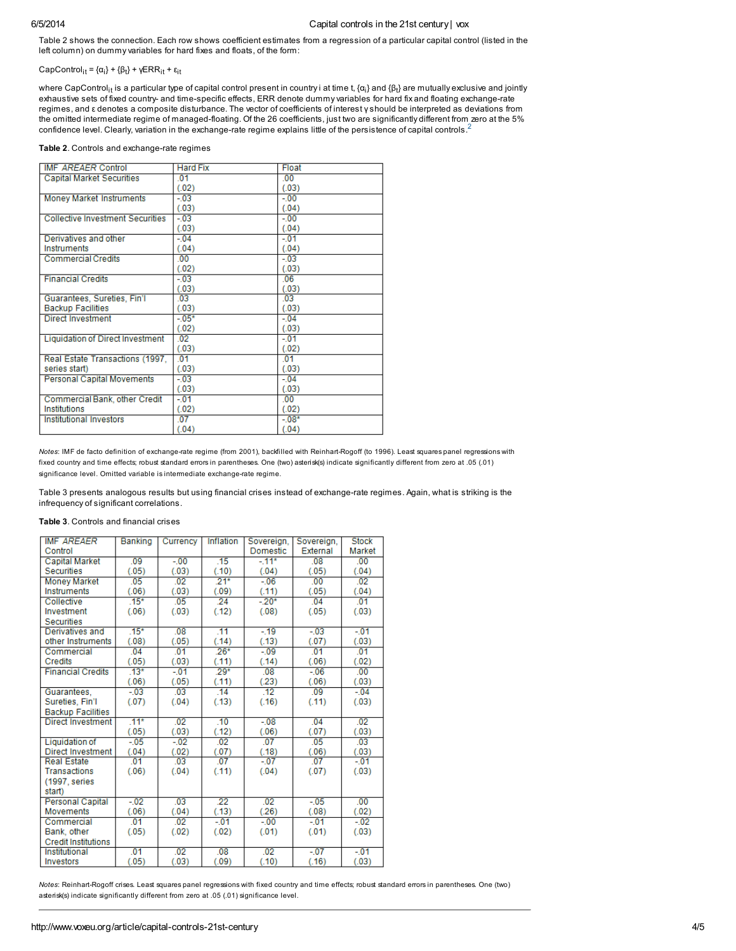# 6/5/2014 Capital controls in the 21st century | vox

Table 2 shows the connection. Each row shows coefficient estimates from a regression of a particular capital control (listed in the left column) on dummy variables for hard fixes and floats, of the form:

CapControl<sub>it</sub> = { $\alpha_i$ } + {β<sub>t</sub>} + γERR<sub>it</sub> + ε<sub>it</sub>

where CapControl<sub>it</sub> is a particular type of capital control present in country i at time t, {α<sub>i</sub>} and {β<sub>t</sub>} are mutually exclusive and jointly exhaustive sets of fixed country- and time-specific effects, ERR denote dummy variables for hard fix and floating exchange-rate regimes, and ε denotes a composite disturbance. The vector of coefficients of interest γ should be interpreted as deviations from the omitted intermediate regime of managed-floating. Of the 26 coefficients, just two are significantly different from zero at the 5% confidence level. Clearly, variation in the exchange-rate regime explains little of the persistence of capital controls.<sup>[2](#page-4-0)</sup>

#### Table 2. Controls and exchange-rate regimes

| <b>IMF AREAER Control</b>               | <b>Hard Fix</b> | Float            |
|-----------------------------------------|-----------------|------------------|
| <b>Capital Market Securities</b>        | 01              | .00              |
|                                         | (.02)           | (.03)            |
| <b>Money Market Instruments</b>         | $-03$           | $-00$            |
|                                         | (.03)           | (.04)            |
| <b>Collective Investment Securities</b> | $-03$           | $-00$            |
|                                         | (.03)           | (.04)            |
| Derivatives and other                   | $-04$           | $-01$            |
| Instruments                             | (.04)           | (.04)            |
| <b>Commercial Credits</b>               | 00              | $-0.03$          |
|                                         | (.02)           | (.03)            |
| <b>Financial Credits</b>                | $-03$           | .06              |
|                                         | (.03)           | (.03)            |
| Guarantees, Sureties, Fin'l             | 03              | .03              |
| <b>Backup Facilities</b>                | (.03)           | (.03)            |
| Direct Investment                       | $-0.5*$         | $-04$            |
|                                         | (.02)           | (.03)            |
| <b>Liquidation of Direct Investment</b> | 02 <sub>o</sub> | $-01$            |
|                                         | (.03)           | (.02)            |
| Real Estate Transactions (1997,         | .01             | 01               |
| series start)                           | (.03)           | (.03)            |
| <b>Personal Capital Movements</b>       | - 03            | $-04$            |
|                                         | (.03)           | (.03)            |
| Commercial Bank, other Credit           | $-01$           | .00 <sub>1</sub> |
| Institutions                            | (.02)           | (.02)            |
| <b>Institutional Investors</b>          | 07              | $-08*$           |
|                                         | (.04)           | (.04)            |

Notes: IMF de facto definition of exchange-rate regime (from 2001), backfilled with Reinhart-Rogoff (to 1996). Least squarespanel regressions with fixed country and time effects; robust standard errors in parentheses. One (two) asterisk(s) indicate significantly different from zero at .05 (.01) significance level. Omitted variable is intermediate exchange-rate regime.

Table 3 presents analogous results but using financial crises instead of exchange-rate regimes. Again, what is striking is the infrequency of significant correlations.

# Table 3. Controls and financial crises

| <b>IMF AREAER</b>          | <b>Banking</b> | Currency         | Inflation        | Sovereign, | Sovereign, | <b>Stock</b> |
|----------------------------|----------------|------------------|------------------|------------|------------|--------------|
| Control                    |                |                  |                  | Domestic   | External   | Market       |
| <b>Capital Market</b>      | .09            | $-00$            | .15              | $-11*$     | .08        | .00          |
| <b>Securities</b>          | (.05)          | (.03)            | (.10)            | (.04)      | (.05)      | (.04)        |
| <b>Money Market</b>        | .05            | .02              | $.21*$           | $-06$      | .00        | .02          |
| Instruments                | (.06)          | (.03)            | (.09)            | (.11)      | (.05)      | (.04)        |
| Collective                 | $.15*$         | .05              | 24               | $-20*$     | .04        | .01          |
| Investment                 | (.06)          | (.03)            | (.12)            | (.08)      | (.05)      | (.03)        |
| <b>Securities</b>          |                |                  |                  |            |            |              |
| Derivatives and            | $.15*$         | .08 <sub>1</sub> | .11              | $-19$      | $-0.3$     | $-01$        |
| other Instruments          | (.08)          | (.05)            | (.14)            | (.13)      | (.07)      | (.03)        |
| Commercial                 | .04            | .01              | $.26*$           | $-0.09$    | .01        | .01          |
| Credits                    | (.05)          | (.03)            | (.11)            | (.14)      | (.06)      | (.02)        |
| <b>Financial Credits</b>   | $.13*$         | $-01$            | $29*$            | .08        | $-06$      | .00          |
|                            | (.06)          | (.05)            | (.11)            | (.23)      | (.06)      | (.03)        |
| Guarantees.                | $-0.3$         | .03              | .14              | .12        | .09        | $-04$        |
| Sureties, Fin'l            | (.07)          | (.04)            | (.13)            | (.16)      | (.11)      | (.03)        |
| <b>Backup Facilities</b>   |                |                  |                  |            |            |              |
| Direct Investment          | $.11*$         | .02              | $\overline{.10}$ | $-0.08$    | .04        | .02          |
|                            | (.05)          | (.03)            | (.12)            | (.06)      | (.07)      | (.03)        |
| <b>Liquidation of</b>      | $-05$          | $-02$            | .02              | .07        | .05        | .03          |
| <b>Direct Investment</b>   | (.04)          | (.02)            | (.07)            | (.18)      | (.06)      | (.03)        |
| <b>Real Estate</b>         | .01            | .03              | .07              | $-07$      | .07        | $-01$        |
| Transactions               | (.06)          | (.04)            | (.11)            | (.04)      | (.07)      | (.03)        |
| (1997, series              |                |                  |                  |            |            |              |
| start)                     |                |                  |                  |            |            |              |
| <b>Personal Capital</b>    | $-0.02$        | .03              | .22              | .02        | $-0.05$    | .00.         |
| <b>Movements</b>           | (.06)          | (.04)            | (.13)            | (.26)      | (.08)      | (.02)        |
| Commercial                 | .01            | .02              | $-01$            | $-00$      | $-01$      | $-02$        |
| Bank, other                | (.05)          | (.02)            | (.02)            | (.01)      | (.01)      | (.03)        |
| <b>Credit Institutions</b> |                |                  |                  |            |            |              |
| Institutional              | .01            | .02              | .08              | .02        | $-0.07$    | $-01$        |
| Investors                  | (.05)          | (.03)            | (.09)            | (.10)      | (.16)      | (.03)        |

Notes: Reinhart-Rogoff crises. Least squares panel regressions with fixed country and time effects; robust standard errors in parentheses. One (two) asterisk(s) indicate significantly different from zero at .05 (.01) significance level.